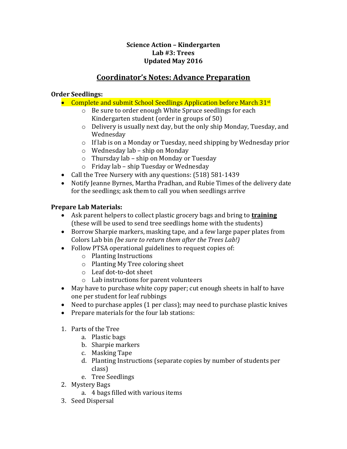## **Science Action – Kindergarten Lab #3: Trees Updated May 2016**

## **Coordinator's Notes: Advance Preparation**

## **Order Seedlings:**

- Complete and submit School Seedlings Application before March 31<sup>st</sup>
	- o Be sure to order enough White Spruce seedlings for each Kindergarten student (order in groups of 50)
	- o Delivery is usually next day, but the only ship Monday, Tuesday, and Wednesday
	- o If lab is on a Monday or Tuesday, need shipping by Wednesday prior
	- o Wednesday lab ship on Monday
	- o Thursday lab ship on Monday or Tuesday
	- o Friday lab ship Tuesday or Wednesday
- Call the Tree Nursery with any questions: (518) 581-1439
- Notify Jeanne Byrnes, Martha Pradhan, and Rubie Times of the delivery date for the seedlings; ask them to call you when seedlings arrive

## **Prepare Lab Materials:**

- Ask parent helpers to collect plastic grocery bags and bring to **training** (these will be used to send tree seedlings home with the students)
- Borrow Sharpie markers, masking tape, and a few large paper plates from Colors Lab bin *(be sure to return them after the Trees Lab!)*
- Follow PTSA operational guidelines to request copies of:
	- o Planting Instructions
	- o Planting My Tree coloring sheet
	- o Leaf dot-to-dot sheet
	- o Lab instructions for parent volunteers
- May have to purchase white copy paper; cut enough sheets in half to have one per student for leaf rubbings
- Need to purchase apples (1 per class); may need to purchase plastic knives
- Prepare materials for the four lab stations:
- 1. Parts of the Tree
	- a. Plastic bags
	- b. Sharpie markers
	- c. Masking Tape
	- d. Planting Instructions (separate copies by number of students per class)
	- e. Tree Seedlings
- 2. Mystery Bags
	- a. 4 bags filled with various items
- 3. Seed Dispersal